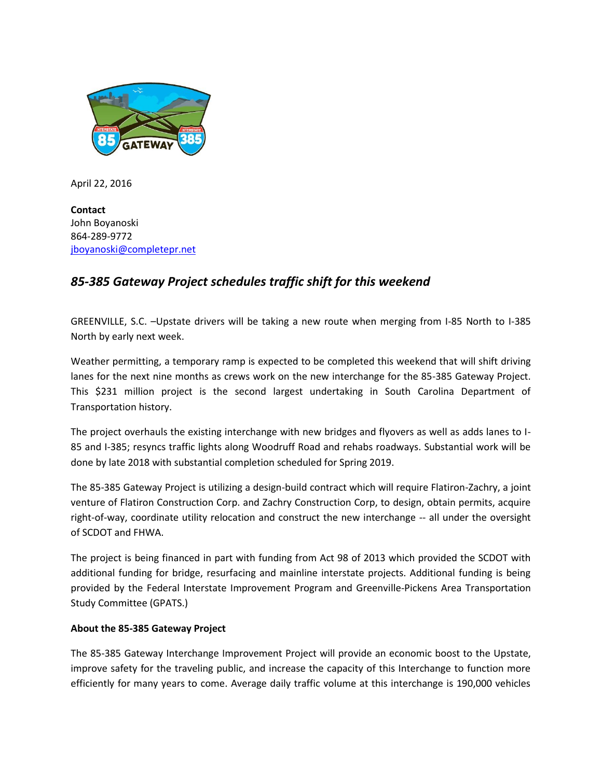

April 22, 2016

**Contact** John Boyanoski 864-289-9772 [jboyanoski@completepr.net](mailto:jboyanoski@completepr.net)

## *85-385 Gateway Project schedules traffic shift for this weekend*

GREENVILLE, S.C. –Upstate drivers will be taking a new route when merging from I-85 North to I-385 North by early next week.

Weather permitting, a temporary ramp is expected to be completed this weekend that will shift driving lanes for the next nine months as crews work on the new interchange for the 85-385 Gateway Project. This \$231 million project is the second largest undertaking in South Carolina Department of Transportation history.

The project overhauls the existing interchange with new bridges and flyovers as well as adds lanes to I-85 and I-385; resyncs traffic lights along Woodruff Road and rehabs roadways. Substantial work will be done by late 2018 with substantial completion scheduled for Spring 2019.

The 85-385 Gateway Project is utilizing a design-build contract which will require Flatiron-Zachry, a joint venture of Flatiron Construction Corp. and Zachry Construction Corp, to design, obtain permits, acquire right-of-way, coordinate utility relocation and construct the new interchange -- all under the oversight of SCDOT and FHWA.

The project is being financed in part with funding from Act 98 of 2013 which provided the SCDOT with additional funding for bridge, resurfacing and mainline interstate projects. Additional funding is being provided by the Federal Interstate Improvement Program and Greenville-Pickens Area Transportation Study Committee (GPATS.)

## **About the 85-385 Gateway Project**

The 85-385 Gateway Interchange Improvement Project will provide an economic boost to the Upstate, improve safety for the traveling public, and increase the capacity of this Interchange to function more efficiently for many years to come. Average daily traffic volume at this interchange is 190,000 vehicles